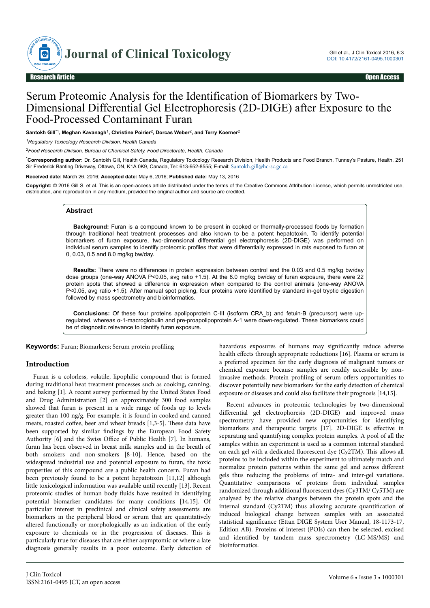

Research Article Open Access

# Serum Proteomic Analysis for the Identification of Biomarkers by Two-Dimensional Differential Gel Electrophoresis (2D-DIGE) after Exposure to the Food-Processed Contaminant Furan

**Santokh Gill**\*1**, Meghan Kavanagh**<sup>1</sup> **, Christine Poirier**<sup>2</sup> **, Dorcas Weber**<sup>2</sup> **, and Terry Koerner**<sup>2</sup>

*<sup>1</sup>Regulatory Toxicology Research Division, Health Canada*

*<sup>2</sup>Food Research Division, Bureau of Chemical Safety, Food Directorate, Health, Canada*

\***Corresponding author:** Dr. Santokh Gill, Health Canada, Regulatory Toxicology Research Division, Health Products and Food Branch, Tunney's Pasture, Health, 251 Sir Frederick Banting Driveway, Ottawa, ON, K1A 0K9, Canada, Tel: 613-952-8555; E-mail: [Santokh.gill@hc-sc.gc.ca](mailto:Santokh.gill@hc-sc.gc.ca)

**Received date:** March 26, 2016; **Accepted date:** May 6, 2016; **Published date:** May 13, 2016

**Copyright:** © 2016 Gill S, et al. This is an open-access article distributed under the terms of the Creative Commons Attribution License, which permits unrestricted use, distribution, and reproduction in any medium, provided the original author and source are credited.

#### **Abstract**

**Background:** Furan is a compound known to be present in cooked or thermally-processed foods by formation through traditional heat treatment processes and also known to be a potent hepatotoxin. To identify potential biomarkers of furan exposure, two-dimensional differential gel electrophoresis (2D-DIGE) was performed on individual serum samples to identify proteomic profiles that were differentially expressed in rats exposed to furan at 0, 0.03, 0.5 and 8.0 mg/kg bw/day.

**Results:** There were no differences in protein expression between control and the 0.03 and 0.5 mg/kg bw/day dose groups (one-way ANOVA P<0.05, avg ratio +1.5). At the 8.0 mg/kg bw/day of furan exposure, there were 22 protein spots that showed a difference in expression when compared to the control animals (one-way ANOVA P<0.05, avg ratio +1.5). After manual spot picking, four proteins were identified by standard in-gel tryptic digestion followed by mass spectrometry and bioinformatics.

**Conclusions:** Of these four proteins apolipoprotein C-III (isoform CRA\_b) and fetuin-B (precursor) were upregulated, whereas α-1-macroglobulin and pre-proapolipoprotein A-1 were down-regulated. These biomarkers could be of diagnostic relevance to identify furan exposure.

**Keywords:** Furan; Biomarkers; Serum protein profiling

#### **Introduction**

Furan is a colorless, volatile, lipophilic compound that is formed during traditional heat treatment processes such as cooking, canning, and baking [1]. A recent survey performed by the United States Food and Drug Administration [2] on approximately 300 food samples showed that furan is present in a wide range of foods up to levels greater than 100 ng/g. For example, it is found in cooked and canned meats, roasted coffee, beer and wheat breads [1,3-5]. These data have been supported by similar findings by the European Food Safety Authority [6] and the Swiss Office of Public Health [7]. In humans, furan has been observed in breast milk samples and in the breath of both smokers and non-smokers [8-10]. Hence, based on the widespread industrial use and potential exposure to furan, the toxic properties of this compound are a public health concern. Furan had been previously found to be a potent hepatotoxin [11,12] although little toxicological information was available until recently [13]. Recent proteomic studies of human body fluids have resulted in identifying potential biomarker candidates for many conditions [14,15]. Of particular interest in preclinical and clinical safety assessments are biomarkers in the peripheral blood or serum that are quantitatively altered functionally or morphologically as an indication of the early exposure to chemicals or in the progression of diseases. Нis is particularly true for diseases that are either asymptomic or where a late diagnosis generally results in a poor outcome. Early detection of

hazardous exposures of humans may significantly reduce adverse health effects through appropriate reductions [16]. Plasma or serum is a preferred specimen for the early diagnosis of malignant tumors or chemical exposure because samples are readily accessible by noninvasive methods. Protein profiling of serum offers opportunities to discover potentially new biomarkers for the early detection of chemical exposure or diseases and could also facilitate their prognosis [14,15].

Recent advances in proteomic technologies by two-dimensional differential gel electrophoresis (2D-DIGE) and improved mass spectrometry have provided new opportunities for identifying biomarkers and therapeutic targets [17]. 2D-DIGE is effective in separating and quantifying complex protein samples. A pool of all the samples within an experiment is used as a common internal standard on each gel with a dedicated fluorescent dye (Cy2TM). Нis allows all proteins to be included within the experiment to ultimately match and normalize protein patterns within the same gel and across different gels thus reducing the problems of intra- and inter-gel variations. Quantitative comparisons of proteins from individual samples randomized through additional fluorescent dyes (Cy3TM/ Cy5TM) are analysed by the relative changes between the protein spots and the internal standard (Cy2TM) thus allowing accurate quantification of induced biological change between samples with an associated statistical significance (Ettan DIGE System User Manual, 18-1173-17, Edition AB). Proteins of interest (POIs) can then be selected, excised and identified by tandem mass spectrometry (LC-MS/MS) and bioinformatics.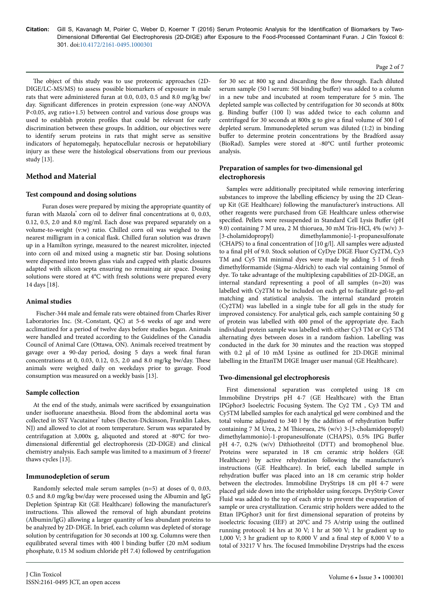Page 2 of 7

The object of this study was to use proteomic approaches (2D-DIGE/LC-MS/MS) to assess possible biomarkers of exposure in male rats that were administered furan at 0.0, 0.03, 0.5 and 8.0 mg/kg bw/ day. Significant differences in protein expression (one-way ANOVA P<0.05, avg ratio+1.5) between control and various dose groups was used to establish protein profiles that could be relevant for early discrimination between these groups. In addition, our objectives were to identify serum proteins in rats that might serve as sensitive indicators of hepatomegaly, hepatocellular necrosis or hepatobiliary injury as these were the histological observations from our previous study [13].

# **Method and Material**

# **Test compound and dosing solutions**

Furan doses were prepared by mixing the appropriate quantity of furan with Mazola<sup>®</sup> corn oil to deliver final concentrations at 0, 0.03, 0.12, 0.5, 2.0 and 8.0 mg/ml. Each dose was prepared separately on a volume-to-weight (v:w) ratio. Chilled corn oil was weighed to the nearest milligram in a conical flask. Chilled furan solution was drawn up in a Hamilton syringe, measured to the nearest microliter, injected into corn oil and mixed using a magnetic stir bar. Dosing solutions were dispensed into brown glass vials and capped with plastic closures adapted with silicon septa ensuring no remaining air space. Dosing solutions were stored at 4°C with fresh solutions were prepared every 14 days [18].

# **Animal studies**

Fischer-344 male and female rats were obtained from Charles River Laboratories Inc. (St.-Constant, QC) at 5-6 weeks of age and were acclimatized for a period of twelve days before studies began. Animals were handled and treated according to the Guidelines of the Canadia Council of Animal Care (Ottawa, ON). Animals received treatment by gavage over a 90-day period, dosing 5 days a week final furan concentrations at 0, 0.03, 0.12, 0.5, 2.0 and 8.0 mg/kg bw/day. Нese animals were weighed daily on weekdays prior to gavage. Food consumption was measured on a weekly basis [13].

# **Sample collection**

At the end of the study, animals were sacrificed by exsanguination under isofluorane anaesthesia. Blood from the abdominal aorta was collected in SST Vacutainer® tubes (Becton-Dickinson, Franklin Lakes, NJ) and allowed to clot at room temperature. Serum was separated by centrifugation at 3,000x g, aliquoted and stored at -80°C for twodimensional differential gel electrophoresis (2D-DIGE) and clinical chemistry analysis. Each sample was limited to a maximum of 3 freeze/ thaws cycles [13].

# **Immunodepletion of serum**

Randomly selected male serum samples (n=5) at doses of 0, 0.03, 0.5 and 8.0 mg/kg bw/day were processed using the Albumin and IgG Depletion Spintrap Kit (GE Healthcare) following the manufacturer's instructions. Нis allowed the removal of high abundant proteins (Albumin/IgG) allowing a larger quantity of less abundant proteins to be analyzed by 2D-DIGE. In brief, each column was depleted of storage solution by centrifugation for 30 seconds at 100 xg. Columns were then equilibrated several times with 400 l binding buffer (20 mM sodium phosphate, 0.15 M sodium chloride pH 7.4) followed by centrifugation

for 30 sec at 800 xg and discarding the flow through. Each diluted serum sample (50 l serum: 50l binding buffer) was added to a column in a new tube and incubated at room temperature for 5 min. Нe depleted sample was collected by centrifugation for 30 seconds at 800x g. Binding buffer (100 l) was added twice to each column and centrifuged for 30 seconds at 800x g to give a final volume of 300 l of depleted serum. Immunodepleted serum was diluted (1:2) in binding buffer to determine protein concentrations by the Bradford assay (BioRad). Samples were stored at -80°C until further proteomic analysis.

# **Preparation of samples for two-dimensional gel electrophoresis**

Samples were additionally precipitated while removing interfering substances to improve the labelling efficiency by using the 2D Cleanup Kit (GE Healthcare) following the manufacturer's instructions. All other reagents were purchased from GE Healthcare unless otherwise specified. Pellets were resuspended in Standard Cell Lysis Buffer (pH 9.0) containing 7 M urea, 2 M thioruea, 30 mM Tris-HCl, 4% (w/v) 3- [3-cholamidopropyl) dimethylammonio]-1-propanesulfonate (CHAPS) to a final concentration of [10 g/l]. All samples were adjusted to a final pH of 9.0. Stock solution of CyDye DIGE Fluor Cy2TM, Cy3 TM and Cy5 TM minimal dyes were made by adding 5 l of fresh dimethylformamide (Sigma-Aldrich) to each vial containing 5nmol of dye. To take advantage of the multiplexing capabilities of 2D-DIGE, an internal standard representing a pool of all samples (n=20) was labelled with Cy2TM to be included on each gel to facilitate gel-to-gel matching and statistical analysis. Нe internal standard protein (Cy2TM) was labelled in a single tube for all gels in the study for improved consistency. For analytical gels, each sample containing 50 g of protein was labelled with 400 pmol of the appropriate dye. Each individual protein sample was labelled with either Cy3 TM or Cy5 TM alternating dyes between doses in a random fashion. Labelling was conducted in the dark for 30 minutes and the reaction was stopped with 0.2 µl of 10 mM Lysine as outlined for 2D-DIGE minimal labelling in the EttanTM DIGE Imager user manual (GE Healthcare).

# **Two-dimensional gel electrophoresis**

First dimensional separation was completed using 18 cm Immobiline Drystrips pH 4-7 (GE Healthcare) with the Ettan IPGphor3 Isoelectric Focusing System. Нe Cy2 TM , Cy3 TM and Cy5TM labelled samples for each analytical gel were combined and the total volume adjusted to 340 l by the addition of rehydration buffer containing 7 M Urea, 2 M Нioruea, 2% (w/v) 3-[3-cholamidopropyl) dimethylammonio]-1-propanesulfonate (CHAPS), 0.5% IPG Buffer pH 4-7, 0.2% (w/v) Dithiothreitol (DTT) and bromophenol blue. Proteins were separated in 18 cm ceramic strip holders (GE Healthcare) by active rehydration following the manufacturer's instructions (GE Healthcare). In brief, each labelled sample in rehydration buffer was placed into an 18 cm ceramic strip holder between the electrodes. Immobiline DryStrips 18 cm pH 4-7 were placed gel side down into the stripholder using forceps. DryStrip Cover Fluid was added to the top of each strip to prevent the evaporation of sample or urea crystallization. Ceramic strip holders were added to the Ettan IPGphor3 unit for first dimensional separation of proteins by isoelectric focusing (IEF) at 20°C and 75 A/strip using the outlined running protocol: 14 hrs at 30 V; 1 hr at 500 V; 1 hr gradient up to 1,000 V; 3 hr gradient up to 8,000 V and a final step of 8,000 V to a total of 33217 V hrs. Нe focused Immobiline Drystrips had the excess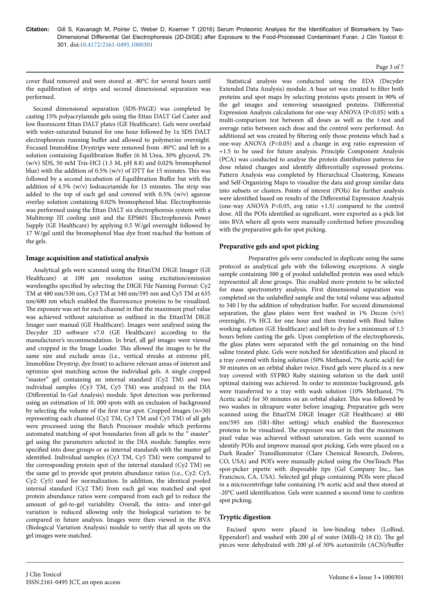#### Page 3 of 7

cover fluid removed and were stored at -80°C for several hours until the equilibration of strips and second dimensional separation was performed.

Second dimensional separation (SDS-PAGE) was completed by casting 15% polyacrylamide gels using the Ettan DALT Gel Caster and low fluorescent Ettan DALT plates (GE Healthcare). Gels were overlaid with water-saturated butanol for one hour followed by 1x SDS DALT electrophoresis running buffer and allowed to polymerize overnight. Focused Immobline Drystrips were removed from -80°C and left in a solution containing Equilibration Buffer (6 M Urea, 30% glycerol, 2% (w/v) SDS, 50 mM Tris-HCl (1.5 M, pH 8.8) and 0.02% bromophenol blue) with the addition of 0.5% (w/v) of DTT for 15 minutes. This was followed by a second incubation of Equilibration Buffer but with the addition of 4.5% (w/v) Iodoacetamide for 15 minutes. Нe strip was added to the top of each gel and covered with 0.5% (w/v) agarose overlay solution containing 0.02% bromophenol blue. Electrophoresis was performed using the Ettan DALT six electrophoresis system with a Multitemp III cooling unit and the EPS601 Electrophoresis Power Supply (GE Healthcare) by applying 0.5 W/gel overnight followed by 17 W/gel until the bromophenol blue dye front reached the bottom of the gels.

## **Image acquisition and statistical analysis**

Analytical gels were scanned using the EttanTM DIGE Imager (GE Healthcare) at 100  $\mu$ m resolution using excitation/emission wavelengths specified by selecting the DIGE File Naming Format: Cy2 TM at 480 nm/530 nm, Cy3 TM at 540 nm/595 nm and Cy5 TM at 635 nm/680 nm which enabled the fluorescence proteins to be visualized. The exposure was set for each channel in that the maximum pixel value was achieved without saturation as outlined in the EttanTM DIGE Imager user manual (GE Healthcare). Images were analysed using the Decyder 2D software v7.0 (GE Healthcare) according to the manufacturer's recommendation. In brief, all gel images were viewed and cropped in the Image Loader. Нis allowed the images to be the same size and exclude areas (i.e., vertical streaks at extreme pH, Immobline Drystrip, dye front) to achieve relevant areas of interest and optimize spot matching across the individual gels. A single cropped "master" gel containing an internal standard (Cy2 TM) and two individual samples (Cy3 TM, Cy5 TM) was analyzed in the DIA (Differential In-Gel Analysis) module. Spot detection was performed using an estimation of 10, 000 spots with an exclusion of background by selecting the volume of the first true spot. Cropped images (n=30) representing each channel (Cy2 TM, Cy3 TM and Cy5 TM) of all gels were processed using the Batch Processor module which performs automated matching of spot boundaries from all gels to the " master" gel using the parameters selected in the DIA module. Samples were specified into dose groups or as internal standards with the master gel identified. Individual samples (Cy3 TM, Cy5 TM) were compared to the corresponding protein spot of the internal standard (Cy2 TM) on the same gel to provide spot protein abundance ratios (i.e., Cy2: Cy3, Cy2: Cy5) used for normalization. In addition, the identical pooled internal standard (Cy2 TM) from each gel was matched and spot protein abundance ratios were compared from each gel to reduce the amount of gel-to-gel variability. Overall, the intra- and inter-gel variation is reduced allowing only the biological variation to be compared in future analysis. Images were then viewed in the BVA (Biological Variation Analysis) module to verify that all spots on the gel images were matched.

Statistical analysis was conducted using the EDA (Decyder Extended Data Analysis) module. A base set was created to filter both proteins and spot maps by selecting proteins spots present in 90% of the gel images and removing unassigned proteins. Differential Expression Analysis calculations for one-way ANOVA (P<0.05) with a multi-comparison test between all doses as well as the t-test and average ratio between each dose and the control were performed. An additional set was created by filtering only those proteins which had a one-way ANOVA (P<0.05) and a change in avg ratio expression of +1.5 to be used for future analysis. Principle Component Analysis (PCA) was conducted to analyse the protein distribution patterns for dose related changes and identify differentially expressed proteins. Pattern Analysis was completed by Hierarchical Clustering, Kmeans and Self-Organizing Maps to visualize the data and group similar data into subsets or clusters. Points of interest (POIs) for further analysis were identified based on results of the Differential Expression Analysis (one-way ANOVA P<0.05, avg ratio +1.5) compared to the control dose. All the POIs identified as significant, were exported as a pick list into BVA where all spots were manually confirmed before proceeding with the preparative gels for spot picking.

## **Preparative gels and spot picking**

Preparative gels were conducted in duplicate using the same protocol as analytical gels with the following exceptions. A single sample containing 500 g of pooled unlabelled protein was used which represented all dose groups. Нis enabled more protein to be selected for mass spectrometry analysis. First dimensional separation was completed on the unlabelled sample and the total volume was adjusted to 340 l by the addition of rehydration buffer. For second dimensional separation, the glass plates were first washed in  $1\%$  Decon  $(v/v)$ overnight, 1% HCL for one hour and then treated with Bind Saline working solution (GE Healthcare) and left to dry for a minimum of 1.5 hours before casting the gels. Upon completion of the electrophoresis, the glass plates were separated with the gel remaining on the bind saline treated plate. Gels were notched for identification and placed in a tray covered with fixing solution (50% Methanol, 7% Acetic acid) for 30 minutes on an orbital shaker twice. Fixed gels were placed in a new tray covered with SYPRO Ruby staining solution in the dark until optimal staining was achieved. In order to minimize background, gels were transferred to a tray with wash solution (10% Methanol, 7% Acetic acid) for 30 minutes on an orbital shaker. Нis was followed by two washes in ultrapure water before imaging. Preparative gels were scanned using the EttanTM DIGE Imager (GE Healthcare) at 480 nm/595 nm (SR1-filter setting) which enabled the fluorescence proteins to be visualized. Нe exposure was set in that the maximum pixel value was achieved without saturation. Gels were scanned to identify POIs and improve manual spot picking. Gels were placed on a Dark Reader® Transilluminator (Clare Chemical Research, Dolores, CO, USA) and POI's were manually picked using the OneTouch Plus spot-picker pipette with disposable tips (Gel Company Inc., San Francisco, CA, USA). Selected gel plugs containing POIs were placed in a microcentrifuge tube containing 1% acetic acid and then stored at -20°C until identification. Gels were scanned a second time to confirm spot picking.

#### **Tryptic digestion**

Excised spots were placed in low-binding tubes (LoBind, Eppendorf) and washed with 200 µl of water (Milli-Q 18 Ω). The gel pieces were dehydrated with 200  $\mu$ l of 50% acetonitrile (ACN)/buffer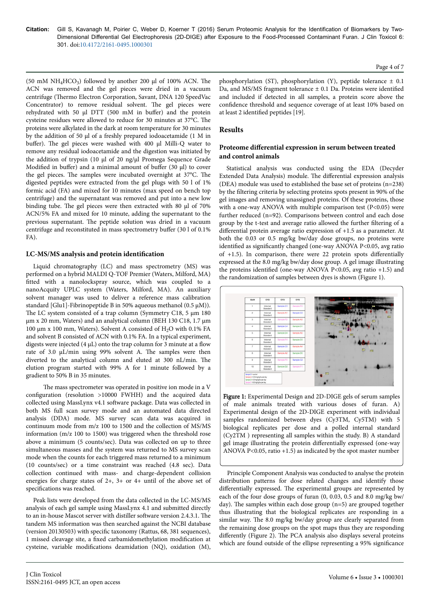(50 mM  $NH_4HCO_3$ ) followed by another 200 µl of 100% ACN. The ACN was removed and the gel pieces were dried in a vacuum centrifuge (Нermo Electron Corporation, Savant, DNA 120 SpeedVac Concentrator) to remove residual solvent. The gel pieces were rehydrated with 50 µl DTT (500 mM in buffer) and the protein cysteine residues were allowed to reduce for 30 minutes at 37°C. Нe proteins were alkylated in the dark at room temperature for 30 minutes by the addition of 50 µl of a freshly prepared iodoacetamide (1 M in buffer). The gel pieces were washed with 400 µl Milli-Q water to remove any residual iodoacetamide and the digestion was initiated by the addition of trypsin (10 µl of 20 ng/µl Promega Sequence Grade Modified in buffer) and a minimal amount of buffer (30  $\mu$ l) to cover the gel pieces. Нe samples were incubated overnight at 37°C. Нe digested peptides were extracted from the gel plugs with 50 l of 1% formic acid (FA) and mixed for 10 minutes (max speed on bench top centrifuge) and the supernatant was removed and put into a new low binding tube. The gel pieces were then extracted with 80 μl of 70% ACN/5% FA and mixed for 10 minute, adding the supernatant to the previous supernatant. Нe peptide solution was dried in a vacuum centrifuge and reconstituted in mass spectrometry buffer (30 l of 0.1%) FA).

## LC-MS/MS analysis and protein identification

Liquid chromatography (LC) and mass spectrometry (MS) was performed on a hybrid MALDI Q-TOF Premier (Waters, Milford, MA) fitted with a nanolockspray source, which was coupled to a nanoAcquity UPLC system (Waters, Milford, MA). An auxiliary solvent manager was used to deliver a reference mass calibration standard [Glu1]-Fibrinopeptide B in 50% aqueous methanol  $(0.5 \mu M)$ ). The LC system consisted of a trap column (Symmetry C18, 5 μm 180 µm x 20 mm, Waters) and an analytical column (BEH 130 C18, 1.7 µm 100  $\mu$ m x 100 mm, Waters). Solvent A consisted of H<sub>2</sub>O with 0.1% FA and solvent B consisted of ACN with 0.1% FA. In a typical experiment, digests were injected  $(4 \mu L)$  onto the trap column for 3 minute at a flow rate of 3.0 µL/min using 99% solvent A. Нe samples were then diverted to the analytical column and eluted at 300 nL/min. Нe elution program started with 99% A for 1 minute followed by a gradient to 50% B in 35 minutes.

The mass spectrometer was operated in positive ion mode in a V configuration (resolution >10000 FWHH) and the acquired data collected using MassLynx v4.1 software package. Data was collected in both MS full scan survey mode and an automated data directed analysis (DDA) mode. MS survey scan data was acquired in continuum mode from m/z 100 to 1500 and the collection of MS/MS information (m/z 100 to 1500) was triggered when the threshold rose above a minimum (5 counts/sec). Data was collected on up to three simultaneous masses and the system was returned to MS survey scan mode when the counts for each triggered mass returned to a minimum (10 counts/sec) or a time constraint was reached (4.8 sec). Data collection continued with mass- and charge-dependent collision energies for charge states of 2+, 3+ or 4+ until of the above set of specifications was reached.

Peak lists were developed from the data collected in the LC-MS/MS analysis of each gel sample using MassLynx 4.1 and submitted directly to an in-house Mascot server with distiller software version 2.4.3.1. The tandem MS information was then searched against the NCBI database (version 20130503) with specific taxonomy (Rattus, 68, 381 sequences), 1 missed cleavage site, a fixed carbamidomethylation modification at cysteine, variable modifications deamidation (NQ), oxidation (M), phosphorylation (ST), phosphorylation (Y), peptide tolerance  $\pm$  0.1 Da, and MS/MS fragment tolerance  $\pm$  0.1 Da. Proteins were identified and included if detected in all samples, a protein score above the confidence threshold and sequence coverage of at least 10% based on at least 2 identified peptides [19].

# **Results**

# Proteome differential expression in serum between treated **and control animals**

Statistical analysis was conducted using the EDA (Decyder Extended Data Analysis) module. The differential expression analysis (DEA) module was used to established the base set of proteins (n=238) by the filtering criteria by selecting proteins spots present in 90% of the gel images and removing unassigned proteins. Of these proteins, those with a one-way ANOVA with multiple comparison test  $(P<0.05)$  were further reduced (n=92). Comparisons between control and each dose group by the t-test and average ratio allowed the further filtering of a differential protein average ratio expression of  $+1.5$  as a parameter. At both the 0.03 or 0.5 mg/kg bw/day dose groups, no proteins were identified as significantly changed (one-way ANOVA P<0.05, avg ratio of  $+1.5$ ). In comparison, there were 22 protein spots differentially expressed at the 8.0 mg/kg bw/day dose group. A gel image illustrating the proteins identified (one-way ANOVA P<0.05, avg ratio +1.5) and the randomization of samples between dyes is shown (Figure 1).



Figure 1: Experimental Design and 2D-DIGE gels of serum samples of male animals treated with various doses of furan. A) Experimental design of the 2D-DIGE experiment with individual samples randomized between dyes (Cy3TM, Cy5TM) with 5 biological replicates per dose and a polled internal standard (Cy2TM ) representing all samples within the study. B) A standard gel image illustrating the protein differentially expressed (one-way ANOVA P<0.05, ratio +1.5) as indicated by the spot master number

Principle Component Analysis was conducted to analyse the protein distribution patterns for dose related changes and identify those differentially expressed. The experimental groups are represented by each of the four dose groups of furan (0, 0.03, 0.5 and 8.0 mg/kg bw/ day). Нe samples within each dose group (n=5) are grouped together thus illustrating that the biological replicates are responding in a similar way. The 8.0 mg/kg bw/day group are clearly separated from the remaining dose groups on the spot maps thus they are responding differently (Figure 2). The PCA analysis also displays several proteins which are found outside of the ellipse representing a 95% significance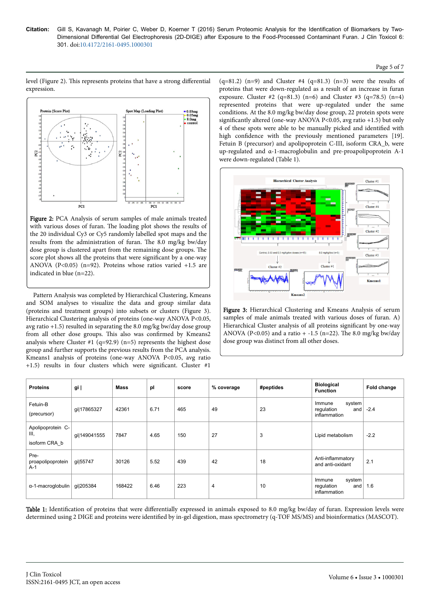#### Page 5 of 7

level (Figure 2). This represents proteins that have a strong differential expression.



Figure 2: PCA Analysis of serum samples of male animals treated with various doses of furan. Нe loading plot shows the results of the 20 individual Cy3 or Cy5 randomly labelled spot maps and the results from the administration of furan. Нe 8.0 mg/kg bw/day dose group is clustered apart from the remaining dose groups. Нe score plot shows all the proteins that were significant by a one-way ANOVA ( $P<0.05$ ) ( $n=92$ ). Proteins whose ratios varied +1.5 are indicated in blue (n=22).

Pattern Analysis was completed by Hierarchical Clustering, Kmeans and SOM analyses to visualize the data and group similar data (proteins and treatment groups) into subsets or clusters (Figure 3). Hierarchical Clustering analysis of proteins (one-way ANOVA P<0.05, avg ratio +1.5) resulted in separating the 8.0 mg/kg bw/day dose group from all other dose groups. Нis also was confirmed by Kmeans2 analysis where Cluster #1 (q=92.9) (n=5) represents the highest dose group and further supports the previous results from the PCA analysis. Kmeans1 analysis of proteins (one-way ANOVA P<0.05, avg ratio +1.5) results in four clusters which were significant. Cluster #1

 $(q=81.2)$  (n=9) and Cluster #4  $(q=81.3)$  (n=3) were the results of proteins that were down-regulated as a result of an increase in furan exposure. Cluster #2 (q=81.3) (n=6) and Cluster #3 (q=78.5) (n=4) represented proteins that were up-regulated under the same conditions. At the 8.0 mg/kg bw/day dose group, 22 protein spots were significantly altered (one-way ANOVA P<0.05, avg ratio +1.5) but only 4 of these spots were able to be manually picked and identified with high confidence with the previously mentioned parameters [19]. Fetuin B (precursor) and apolipoprotein C-III, isoform CRA\_b, were up-regulated and α-1-macroglobulin and pre-proapolipoprotein A-1 were down-regulated (Table 1).



Figure 3: Hierarchical Clustering and Kmeans Analysis of serum samples of male animals treated with various doses of furan. A) Hierarchical Cluster analysis of all proteins significant by one-way ANOVA (P<0.05) and a ratio + -1.5 (n=22). The 8.0 mg/kg bw/day dose group was distinct from all other doses.

| <b>Proteins</b>                            | gi           | <b>Mass</b> | pl   | score | % coverage | #peptides | <b>Biological</b><br><b>Function</b>                      | Fold change |
|--------------------------------------------|--------------|-------------|------|-------|------------|-----------|-----------------------------------------------------------|-------------|
| Fetuin-B<br>(precursor)                    | gi 17865327  | 42361       | 6.71 | 465   | 49         | 23        | system<br>Immune<br>regulation<br>and<br>inflammation     | $-2.4$      |
| Apolipoprotein C-<br>III.<br>isoform CRA b | qil149041555 | 7847        | 4.65 | 150   | 27         | 3         | Lipid metabolism                                          | $-2.2$      |
| Pre-<br>proapolipoprotein<br>$A-1$         | gi 55747     | 30126       | 5.52 | 439   | 42         | 18        | Anti-inflammatory<br>and anti-oxidant                     | 2.1         |
| $\alpha$ -1-macroglobulin                  | gi 205384    | 168422      | 6.46 | 223   | 4          | 10        | system<br>Immune<br>and $ $<br>regulation<br>inflammation | 1.6         |

Table 1: Identification of proteins that were differentially expressed in animals exposed to 8.0 mg/kg bw/day of furan. Expression levels were determined using 2 DIGE and proteins were identified by in-gel digestion, mass spectrometry (q-TOF MS/MS) and bioinformatics (MASCOT).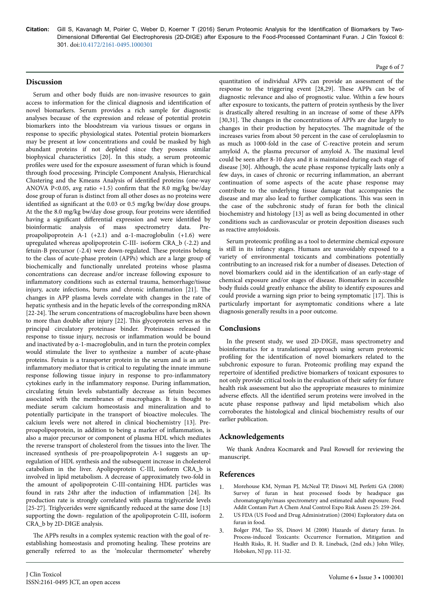# **Discussion**

Serum and other body fluids are non-invasive resources to gain access to information for the clinical diagnosis and identification of novel biomarkers. Serum provides a rich sample for diagnostic analyses because of the expression and release of potential protein biomarkers into the bloodstream via various tissues or organs in response to specific physiological states. Potential protein biomarkers may be present at low concentrations and could be masked by high abundant proteins if not depleted since they possess similar biophysical characteristics [20]. In this study, a serum proteomic profiles were used for the exposure assessment of furan which is found through food processing. Principle Component Analysis, Hierarchical Clustering and the Kmeans Analysis of identified proteins (one-way ANOVA P<0.05, avg ratio +1.5) confirm that the 8.0 mg/kg bw/day dose group of furan is distinct from all other doses as no proteins were identified as significant at the 0.03 or 0.5 mg/kg bw/day dose groups. At the the 8.0 mg/kg bw/day dose group, four proteins were identified having a significant differential expression and were identified by bioinformatic analysis of mass spectrometry data. Preproapolipoprotein A-1 (+2.1) and  $\alpha$ -1-macroglobulin (+1.6) were upregulated whereas apolipoprotein C-III- isoform CRA\_b (-2.2) and fetuin-B precursor (-2.4) were down-regulated. Нese proteins belong to the class of acute-phase protein (APPs) which are a large group of biochemically and functionally unrelated proteins whose plasma concentrations can decrease and/or increase following exposure to inflammatory conditions such as external trauma, hemorrhage/tissue injury, acute infections, burns and chronic inflammation [21]. The changes in APP plasma levels correlate with changes in the rate of hepatic synthesis and in the hepatic levels of the corresponding mRNA [22-24]. Нe serum concentrations of macroglobulins have been shown to more than double after injury [22]. This glycoprotein serves as the principal circulatory proteinase binder. Proteinases released in response to tissue injury, necrosis or inflammation would be bound and inactivated by α-1-macroglobulin, and in turn the protein complex would stimulate the liver to synthesize a number of acute-phase proteins. Fetuin is a transporter protein in the serum and is an antiinflammatory mediator that is critical to regulating the innate immune response following tissue injury in response to pro-inflammatory cytokines early in the inflammatory response. During inflammation, circulating fetuin levels substantially decrease as fetuin becomes associated with the membranes of macrophages. It is thought to mediate serum calcium homeostasis and mineralization and to potentially participate in the transport of bioactive molecules. Нe calcium levels were not altered in clinical biochemistry [13]. Preproapolipoprotein, in addition to being a marker of inflammation, is also a major precursor or component of plasma HDL which mediates the reverse transport of cholesterol from the tissues into the liver. Нe increased synthesis of pre-proapolipoprotein A-1 suggests an upregulation of HDL synthesis and the subsequent increase in cholesterol catabolism in the liver. Apolipoprotein C-III, isoform CRA\_b is involved in lipid metabolism. A decrease of approximately two-fold in the amount of apolipoprotein C-III-containing HDL particles was found in rats 24hr after the induction of inflammation [24]. Its production rate is strongly correlated with plasma triglyceride levels [25-27]. Triglycerides were significantly reduced at the same dose [13] supporting the down- regulation of the apolipoprotein C-III, isoform CRA\_b by 2D-DIGE analysis.

The APPs results in a complex systemic reaction with the goal of reestablishing homeostasis and promoting healing. Нese proteins are generally referred to as the 'molecular thermometer' whereby quantitation of individual APPs can provide an assessment of the response to the triggering event [28,29]. Нese APPs can be of diagnostic relevance and also of prognostic value. Within a few hours after exposure to toxicants, the pattern of protein synthesis by the liver is drastically altered resulting in an increase of some of these APPs [30,31]. Нe changes in the concentrations of APPs are due largely to changes in their production by hepatocytes. Нe magnitude of the increases varies from about 50 percent in the case of ceruloplasmin to as much as 1000-fold in the case of C-reactive protein and serum amyloid A, the plasma precursor of amyloid A. Нe maximal level could be seen after 8-10 days and it is maintained during each stage of disease [30]. Although, the acute phase response typically lasts only a few days, in cases of chronic or recurring inflammation, an aberrant continuation of some aspects of the acute phase response may contribute to the underlying tissue damage that accompanies the disease and may also lead to further complications. Нis was seen in the case of the subchronic study of furan for both the clinical biochemistry and histology [13] as well as being documented in other conditions such as cardiovascular or protein deposition diseases such as reactive amyloidosis.

Serum proteomic profiling as a tool to determine chemical exposure is still in its infancy stages. Humans are unavoidably exposed to a variety of environmental toxicants and combinations potentially contributing to an increased risk for a number of diseases. Detection of novel biomarkers could aid in the identification of an early-stage of chemical exposure and/or stages of disease. Biomarkers in accessible body fluids could greatly enhance the ability to identify exposures and could provide a warning sign prior to being symptomatic [17]. Нis is particularly important for asymptomatic conditions where a late diagnosis generally results in a poor outcome.

## **Conclusions**

In the present study, we used 2D-DIGE, mass spectrometry and bioinformatics for a translational approach using serum proteomic profiling for the identification of novel biomarkers related to the subchronic exposure to furan. Proteomic profiling may expand the repertoire of identified predictive biomarkers of toxicant exposures to not only provide critical tools in the evaluation of their safety for future health risk assessment but also the appropriate measures to minimize adverse effects. All the identified serum proteins were involved in the acute phase response pathway and lipid metabolism which also corroborates the histological and clinical biochemistry results of our earlier publication.

#### **Acknowledgements**

We thank Andrea Kocmarek and Paul Rowsell for reviewing the manuscript.

#### **References**

- 1. [Morehouse KM, Nyman PJ, McNeal TP, Dinovi MJ, Perfetti GA \(2008\)](http://www.ncbi.nlm.nih.gov/pubmed/18311619) [Survey of furan in heat processed foods by headspace gas](http://www.ncbi.nlm.nih.gov/pubmed/18311619) [chromatography/mass spectrometry and estimated adult exposure. Food](http://www.ncbi.nlm.nih.gov/pubmed/18311619) [Addit Contam Part A Chem Anal Control Expo Risk Assess 25: 259-264.](http://www.ncbi.nlm.nih.gov/pubmed/18311619)
- 2. [US FDA \(US Food and Drug Administration\) \(2004\) Exploratory data on](http://www.fda.gov/ohrms/dockets/ac/04/briefing/4045b2_09_furan%20data.pdf) [furan in food.](http://www.fda.gov/ohrms/dockets/ac/04/briefing/4045b2_09_furan%20data.pdf)
- 3. [Bolger PM, Tao SS, Dinovi M \(2008\) Hazards of dietary furan. In](http://onlinelibrary.wiley.com/doi/10.1002/9780470430101.ch2d/summary) [Process-induced Toxicants: Occurrence Formation, Mitigation and](http://onlinelibrary.wiley.com/doi/10.1002/9780470430101.ch2d/summary) [Health Risks, R. H. Stadler and D. R. Lineback, \(2nd eds.\) John Wiley,](http://onlinelibrary.wiley.com/doi/10.1002/9780470430101.ch2d/summary) [Hoboken, NJ pp. 111-32.](http://onlinelibrary.wiley.com/doi/10.1002/9780470430101.ch2d/summary)